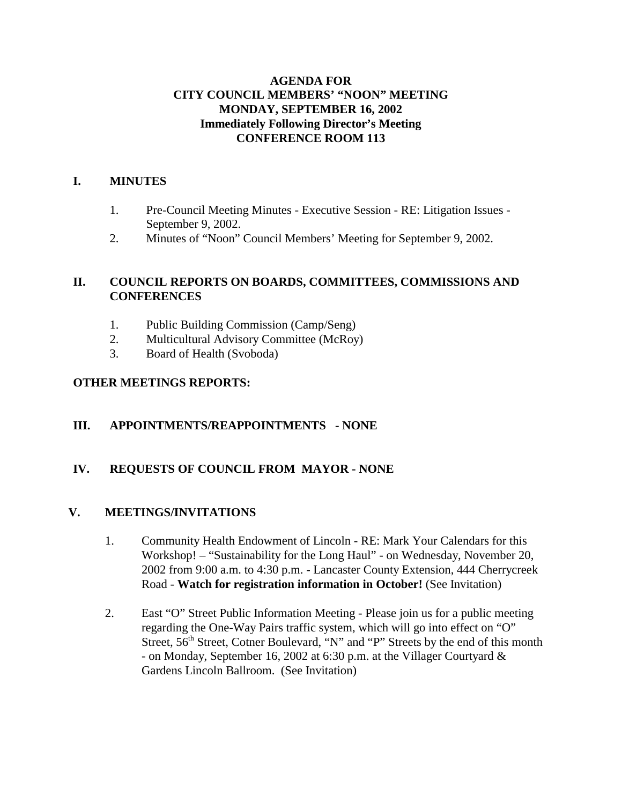#### **AGENDA FOR CITY COUNCIL MEMBERS' "NOON" MEETING MONDAY, SEPTEMBER 16, 2002 Immediately Following Director's Meeting CONFERENCE ROOM 113**

#### **I. MINUTES**

- 1. Pre-Council Meeting Minutes Executive Session RE: Litigation Issues September 9, 2002.
- 2. Minutes of "Noon" Council Members' Meeting for September 9, 2002.

## **II. COUNCIL REPORTS ON BOARDS, COMMITTEES, COMMISSIONS AND CONFERENCES**

- 1. Public Building Commission (Camp/Seng)
- 2. Multicultural Advisory Committee (McRoy)
- 3. Board of Health (Svoboda)

## **OTHER MEETINGS REPORTS:**

# **III. APPOINTMENTS/REAPPOINTMENTS - NONE**

#### **IV. REQUESTS OF COUNCIL FROM MAYOR - NONE**

#### **V. MEETINGS/INVITATIONS**

- 1. Community Health Endowment of Lincoln RE: Mark Your Calendars for this Workshop! – "Sustainability for the Long Haul" - on Wednesday, November 20, 2002 from 9:00 a.m. to 4:30 p.m. - Lancaster County Extension, 444 Cherrycreek Road - **Watch for registration information in October!** (See Invitation)
- 2. East "O" Street Public Information Meeting Please join us for a public meeting regarding the One-Way Pairs traffic system, which will go into effect on "O" Street, 56<sup>th</sup> Street, Cotner Boulevard, "N" and "P" Streets by the end of this month - on Monday, September 16, 2002 at 6:30 p.m. at the Villager Courtyard & Gardens Lincoln Ballroom. (See Invitation)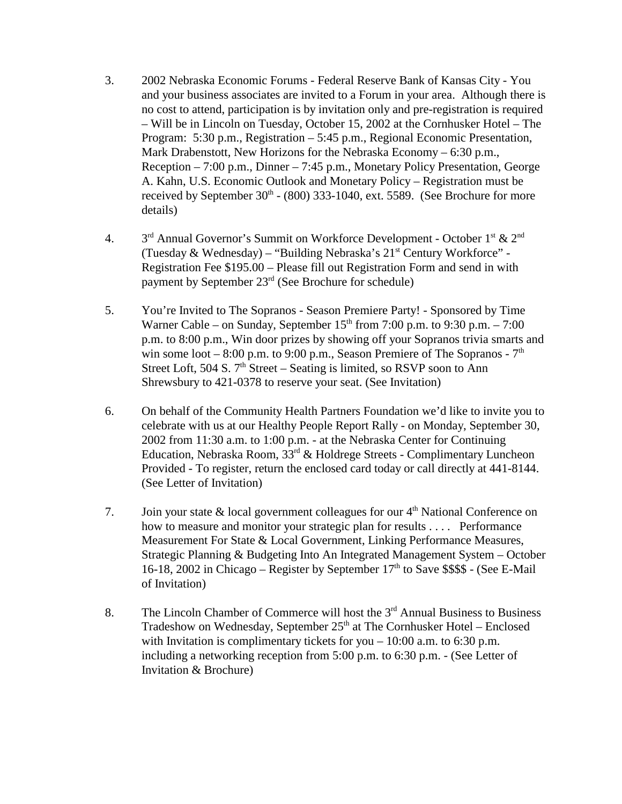- 3. 2002 Nebraska Economic Forums Federal Reserve Bank of Kansas City You and your business associates are invited to a Forum in your area. Although there is no cost to attend, participation is by invitation only and pre-registration is required – Will be in Lincoln on Tuesday, October 15, 2002 at the Cornhusker Hotel – The Program: 5:30 p.m., Registration – 5:45 p.m., Regional Economic Presentation, Mark Drabenstott, New Horizons for the Nebraska Economy – 6:30 p.m., Reception – 7:00 p.m., Dinner – 7:45 p.m., Monetary Policy Presentation, George A. Kahn, U.S. Economic Outlook and Monetary Policy – Registration must be received by September  $30<sup>th</sup>$  - (800) 333-1040, ext. 5589. (See Brochure for more details)
- 4. 3<sup>rd</sup> Annual Governor's Summit on Workforce Development October 1<sup>st</sup> & 2<sup>nd</sup> (Tuesday & Wednesday) – "Building Nebraska's  $21<sup>st</sup>$  Century Workforce" -Registration Fee \$195.00 – Please fill out Registration Form and send in with payment by September  $23<sup>rd</sup>$  (See Brochure for schedule)
- 5. You're Invited to The Sopranos Season Premiere Party! Sponsored by Time Warner Cable – on Sunday, September  $15<sup>th</sup>$  from 7:00 p.m. to 9:30 p.m. – 7:00 p.m. to 8:00 p.m., Win door prizes by showing off your Sopranos trivia smarts and win some loot – 8:00 p.m. to 9:00 p.m., Season Premiere of The Sopranos -  $7<sup>th</sup>$ Street Loft, 504 S.  $7<sup>th</sup>$  Street – Seating is limited, so RSVP soon to Ann Shrewsbury to 421-0378 to reserve your seat. (See Invitation)
- 6. On behalf of the Community Health Partners Foundation we'd like to invite you to celebrate with us at our Healthy People Report Rally - on Monday, September 30, 2002 from 11:30 a.m. to 1:00 p.m. - at the Nebraska Center for Continuing Education, Nebraska Room,  $33<sup>rd</sup>$  & Holdrege Streets - Complimentary Luncheon Provided - To register, return the enclosed card today or call directly at 441-8144. (See Letter of Invitation)
- 7. Join your state  $\&$  local government colleagues for our  $4<sup>th</sup>$  National Conference on how to measure and monitor your strategic plan for results . . . . Performance Measurement For State & Local Government, Linking Performance Measures, Strategic Planning & Budgeting Into An Integrated Management System – October 16-18, 2002 in Chicago – Register by September  $17<sup>th</sup>$  to Save \$\$\$\$ - (See E-Mail of Invitation)
- 8. The Lincoln Chamber of Commerce will host the  $3<sup>rd</sup>$  Annual Business to Business Tradeshow on Wednesday, September  $25<sup>th</sup>$  at The Cornhusker Hotel – Enclosed with Invitation is complimentary tickets for you  $-10:00$  a.m. to 6:30 p.m. including a networking reception from 5:00 p.m. to 6:30 p.m. - (See Letter of Invitation & Brochure)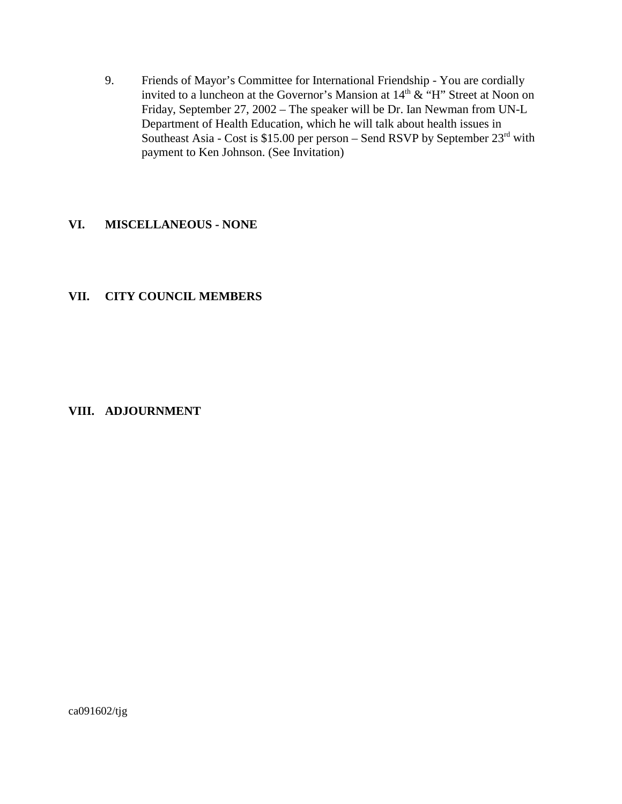9. Friends of Mayor's Committee for International Friendship - You are cordially invited to a luncheon at the Governor's Mansion at  $14<sup>th</sup> \& ^\circ H$ " Street at Noon on Friday, September 27, 2002 – The speaker will be Dr. Ian Newman from UN-L Department of Health Education, which he will talk about health issues in Southeast Asia - Cost is \$15.00 per person – Send RSVP by September  $23<sup>rd</sup>$  with payment to Ken Johnson. (See Invitation)

#### **VI. MISCELLANEOUS - NONE**

## **VII. CITY COUNCIL MEMBERS**

#### **VIII. ADJOURNMENT**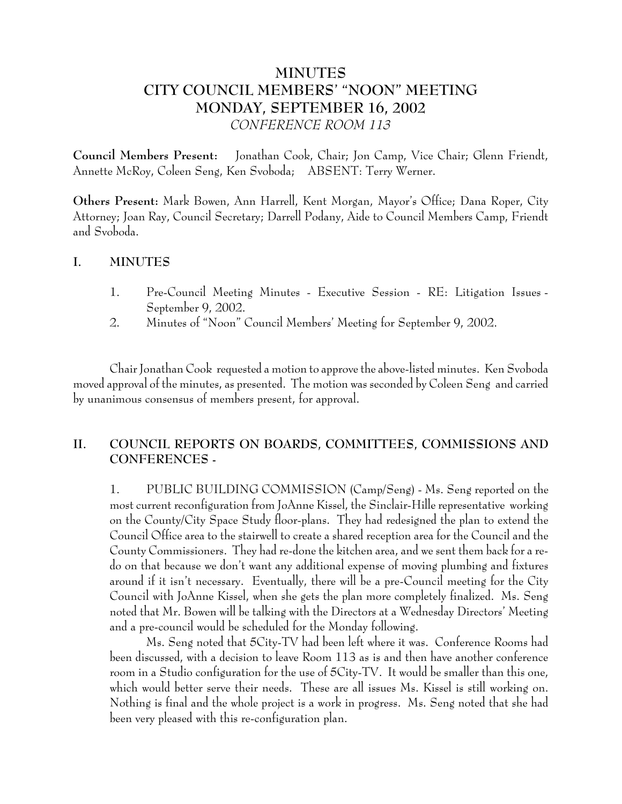# **MINUTES CITY COUNCIL MEMBERS' "NOON" MEETING MONDAY, SEPTEMBER 16, 2002** *CONFERENCE ROOM 113*

**Council Members Present:** Jonathan Cook, Chair; Jon Camp, Vice Chair; Glenn Friendt, Annette McRoy, Coleen Seng, Ken Svoboda; ABSENT: Terry Werner.

**Others Present:** Mark Bowen, Ann Harrell, Kent Morgan, Mayor's Office; Dana Roper, City Attorney; Joan Ray, Council Secretary; Darrell Podany, Aide to Council Members Camp, Friendt and Svoboda.

#### **I. MINUTES**

- 1. Pre-Council Meeting Minutes Executive Session RE: Litigation Issues September 9, 2002.
- 2. Minutes of "Noon" Council Members' Meeting for September 9, 2002.

Chair Jonathan Cook requested a motion to approve the above-listed minutes. Ken Svoboda moved approval of the minutes, as presented. The motion was seconded by Coleen Seng and carried by unanimous consensus of members present, for approval.

# **II. COUNCIL REPORTS ON BOARDS, COMMITTEES, COMMISSIONS AND CONFERENCES -**

1. PUBLIC BUILDING COMMISSION (Camp/Seng) - Ms. Seng reported on the most current reconfiguration from JoAnne Kissel, the Sinclair-Hille representative working on the County/City Space Study floor-plans. They had redesigned the plan to extend the Council Office area to the stairwell to create a shared reception area for the Council and the County Commissioners. They had re-done the kitchen area, and we sent them back for a redo on that because we don't want any additional expense of moving plumbing and fixtures around if it isn't necessary. Eventually, there will be a pre-Council meeting for the City Council with JoAnne Kissel, when she gets the plan more completely finalized. Ms. Seng noted that Mr. Bowen will be talking with the Directors at a Wednesday Directors' Meeting and a pre-council would be scheduled for the Monday following.

Ms. Seng noted that 5City-TV had been left where it was. Conference Rooms had been discussed, with a decision to leave Room 113 as is and then have another conference room in a Studio configuration for the use of 5City-TV. It would be smaller than this one, which would better serve their needs. These are all issues Ms. Kissel is still working on. Nothing is final and the whole project is a work in progress. Ms. Seng noted that she had been very pleased with this re-configuration plan.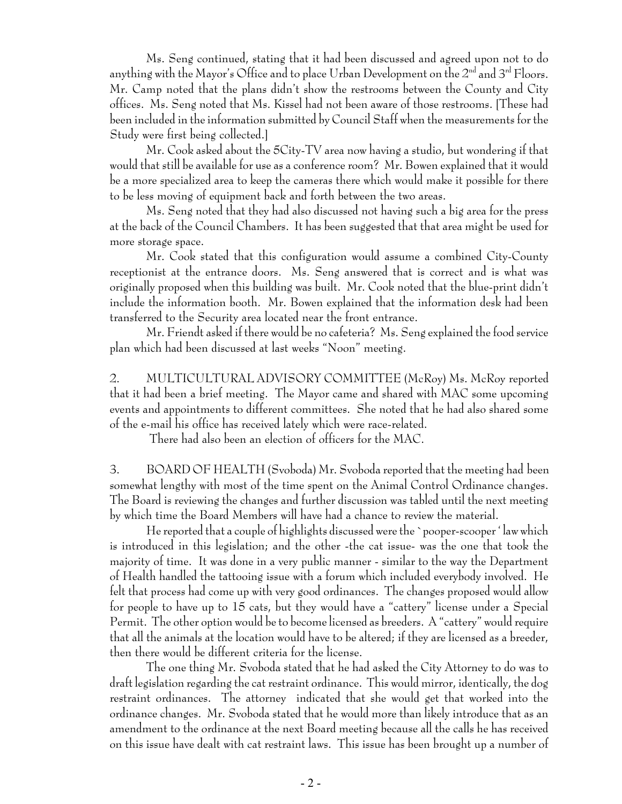Ms. Seng continued, stating that it had been discussed and agreed upon not to do anything with the Mayor's Office and to place Urban Development on the  $2^{nd}$  and  $3^{rd}$  Floors. Mr. Camp noted that the plans didn't show the restrooms between the County and City offices. Ms. Seng noted that Ms. Kissel had not been aware of those restrooms. [These had been included in the information submitted by Council Staff when the measurements for the Study were first being collected.]

Mr. Cook asked about the 5City-TV area now having a studio, but wondering if that would that still be available for use as a conference room? Mr. Bowen explained that it would be a more specialized area to keep the cameras there which would make it possible for there to be less moving of equipment back and forth between the two areas.

Ms. Seng noted that they had also discussed not having such a big area for the press at the back of the Council Chambers. It has been suggested that that area might be used for more storage space.

Mr. Cook stated that this configuration would assume a combined City-County receptionist at the entrance doors. Ms. Seng answered that is correct and is what was originally proposed when this building was built. Mr. Cook noted that the blue-print didn't include the information booth. Mr. Bowen explained that the information desk had been transferred to the Security area located near the front entrance.

Mr. Friendt asked if there would be no cafeteria? Ms. Seng explained the food service plan which had been discussed at last weeks "Noon" meeting.

2. MULTICULTURAL ADVISORY COMMITTEE (McRoy) Ms. McRoy reported that it had been a brief meeting. The Mayor came and shared with MAC some upcoming events and appointments to different committees. She noted that he had also shared some of the e-mail his office has received lately which were race-related.

There had also been an election of officers for the MAC.

3. BOARD OF HEALTH (Svoboda) Mr. Svoboda reported that the meeting had been somewhat lengthy with most of the time spent on the Animal Control Ordinance changes. The Board is reviewing the changes and further discussion was tabled until the next meeting by which time the Board Members will have had a chance to review the material.

He reported that a couple of highlights discussed were the `pooper-scooper ' law which is introduced in this legislation; and the other -the cat issue- was the one that took the majority of time. It was done in a very public manner - similar to the way the Department of Health handled the tattooing issue with a forum which included everybody involved. He felt that process had come up with very good ordinances. The changes proposed would allow for people to have up to 15 cats, but they would have a "cattery" license under a Special Permit. The other option would be to become licensed as breeders. A "cattery" would require that all the animals at the location would have to be altered; if they are licensed as a breeder, then there would be different criteria for the license.

The one thing Mr. Svoboda stated that he had asked the City Attorney to do was to draft legislation regarding the cat restraint ordinance. This would mirror, identically, the dog restraint ordinances. The attorney indicated that she would get that worked into the ordinance changes. Mr. Svoboda stated that he would more than likely introduce that as an amendment to the ordinance at the next Board meeting because all the calls he has received on this issue have dealt with cat restraint laws. This issue has been brought up a number of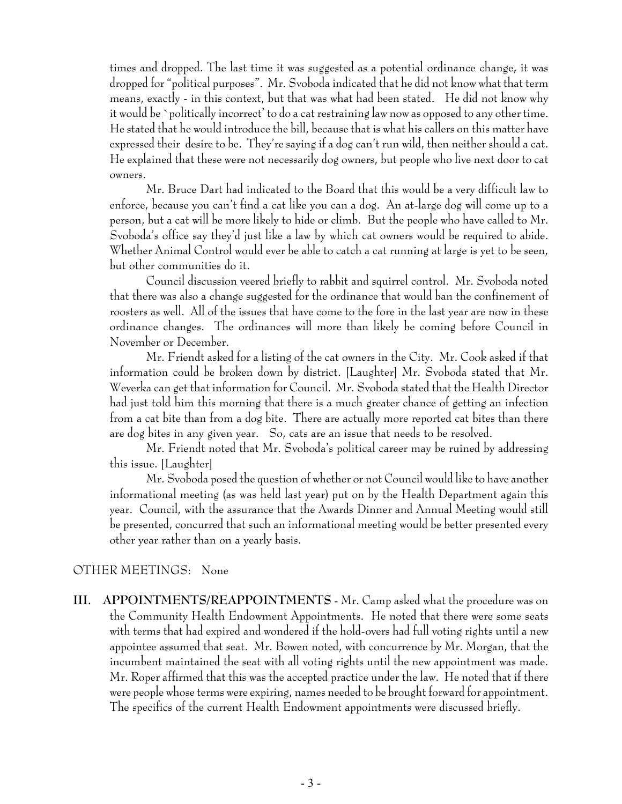times and dropped. The last time it was suggested as a potential ordinance change, it was dropped for "political purposes". Mr. Svoboda indicated that he did not know what that term means, exactly - in this context, but that was what had been stated. He did not know why it would be `politically incorrect' to do a cat restraining law now as opposed to any other time. He stated that he would introduce the bill, because that is what his callers on this matter have expressed their desire to be. They're saying if a dog can't run wild, then neither should a cat. He explained that these were not necessarily dog owners, but people who live next door to cat owners.

Mr. Bruce Dart had indicated to the Board that this would be a very difficult law to enforce, because you can't find a cat like you can a dog. An at-large dog will come up to a person, but a cat will be more likely to hide or climb. But the people who have called to Mr. Svoboda's office say they'd just like a law by which cat owners would be required to abide. Whether Animal Control would ever be able to catch a cat running at large is yet to be seen, but other communities do it.

Council discussion veered briefly to rabbit and squirrel control. Mr. Svoboda noted that there was also a change suggested for the ordinance that would ban the confinement of roosters as well. All of the issues that have come to the fore in the last year are now in these ordinance changes. The ordinances will more than likely be coming before Council in November or December.

Mr. Friendt asked for a listing of the cat owners in the City. Mr. Cook asked if that information could be broken down by district. [Laughter] Mr. Svoboda stated that Mr. Weverka can get that information for Council. Mr. Svoboda stated that the Health Director had just told him this morning that there is a much greater chance of getting an infection from a cat bite than from a dog bite. There are actually more reported cat bites than there are dog bites in any given year. So, cats are an issue that needs to be resolved.

Mr. Friendt noted that Mr. Svoboda's political career may be ruined by addressing this issue. [Laughter]

Mr. Svoboda posed the question of whether or not Council would like to have another informational meeting (as was held last year) put on by the Health Department again this year. Council, with the assurance that the Awards Dinner and Annual Meeting would still be presented, concurred that such an informational meeting would be better presented every other year rather than on a yearly basis.

#### OTHER MEETINGS: None

**III. APPOINTMENTS/REAPPOINTMENTS** - Mr. Camp asked what the procedure was on the Community Health Endowment Appointments. He noted that there were some seats with terms that had expired and wondered if the hold-overs had full voting rights until a new appointee assumed that seat. Mr. Bowen noted, with concurrence by Mr. Morgan, that the incumbent maintained the seat with all voting rights until the new appointment was made. Mr. Roper affirmed that this was the accepted practice under the law. He noted that if there were people whose terms were expiring, names needed to be brought forward for appointment. The specifics of the current Health Endowment appointments were discussed briefly.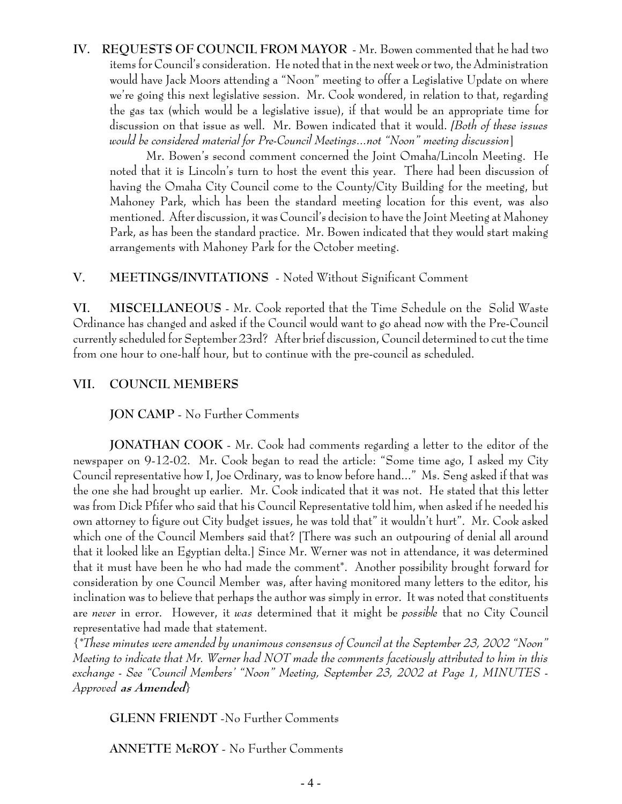# **IV. REQUESTS OF COUNCIL FROM MAYOR** - Mr. Bowen commented that he had two items for Council's consideration. He noted that in the next week or two, the Administration would have Jack Moors attending a "Noon" meeting to offer a Legislative Update on where we're going this next legislative session. Mr. Cook wondered, in relation to that, regarding the gas tax (which would be a legislative issue), if that would be an appropriate time for discussion on that issue as well. Mr. Bowen indicated that it would. *[Both of these issues would be considered material for Pre-Council Meetings...not "Noon" meeting discussion*]

Mr. Bowen's second comment concerned the Joint Omaha/Lincoln Meeting. He noted that it is Lincoln's turn to host the event this year. There had been discussion of having the Omaha City Council come to the County/City Building for the meeting, but Mahoney Park, which has been the standard meeting location for this event, was also mentioned. After discussion, it was Council's decision to have the Joint Meeting at Mahoney Park, as has been the standard practice. Mr. Bowen indicated that they would start making arrangements with Mahoney Park for the October meeting.

## **V. MEETINGS/INVITATIONS** - Noted Without Significant Comment

**VI. MISCELLANEOUS** - Mr. Cook reported that the Time Schedule on the Solid Waste Ordinance has changed and asked if the Council would want to go ahead now with the Pre-Council currently scheduled for September 23rd? After brief discussion, Council determined to cut the time from one hour to one-half hour, but to continue with the pre-council as scheduled.

## **VII. COUNCIL MEMBERS**

**JON CAMP** - No Further Comments

**JONATHAN COOK** - Mr. Cook had comments regarding a letter to the editor of the newspaper on 9-12-02. Mr. Cook began to read the article: "Some time ago, I asked my City Council representative how I, Joe Ordinary, was to know before hand..." Ms. Seng asked if that was the one she had brought up earlier. Mr. Cook indicated that it was not. He stated that this letter was from Dick Pfifer who said that his Council Representative told him, when asked if he needed his own attorney to figure out City budget issues, he was told that" it wouldn't hurt". Mr. Cook asked which one of the Council Members said that? [There was such an outpouring of denial all around that it looked like an Egyptian delta.] Since Mr. Werner was not in attendance, it was determined that it must have been he who had made the comment\*. Another possibility brought forward for consideration by one Council Member was, after having monitored many letters to the editor, his inclination was to believe that perhaps the author was simply in error. It was noted that constituents are *never* in error. However, it *was* determined that it might be *possible* that no City Council representative had made that statement.

{*\*These minutes were amended by unanimous consensus of Council at the September 23, 2002 "Noon" Meeting to indicate that Mr. Werner had NOT made the comments facetiously attributed to him in this exchange - See "Council Members' "Noon" Meeting, September 23, 2002 at Page 1, MINUTES - Approved* **as Amended***}*

**GLENN FRIENDT** -No Further Comments

**ANNETTE McROY** - No Further Comments